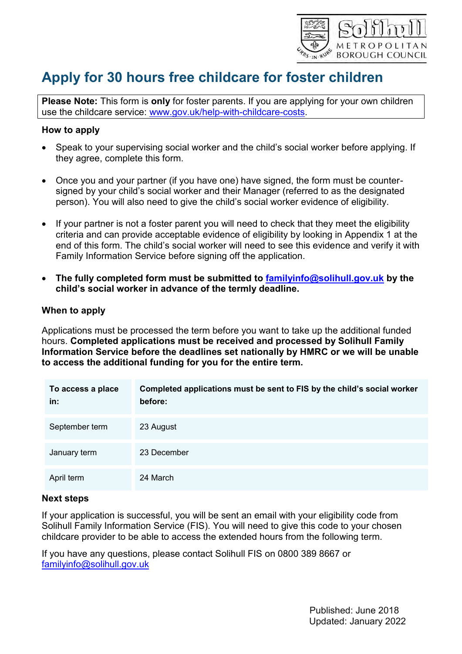

# **Apply for 30 hours free childcare for foster children**

**Please Note:** This form is **only** for foster parents. If you are applying for your own children use the childcare service: [www.gov.uk/help-with-childcare-costs.](http://www.gov.uk/help-with-childcare-costs)

#### **How to apply**

- Speak to your supervising social worker and the child's social worker before applying. If they agree, complete this form.
- Once you and your partner (if you have one) have signed, the form must be countersigned by your child's social worker and their Manager (referred to as the designated person). You will also need to give the child's social worker evidence of eligibility.
- If your partner is not a foster parent you will need to check that they meet the eligibility criteria and can provide acceptable evidence of eligibility by looking in Appendix 1 at the end of this form. The child's social worker will need to see this evidence and verify it with Family Information Service before signing off the application.
- **The fully completed form must be submitted to [familyinfo@solihull.gov.uk](mailto:familyinfo@solihull.gov.uk) by the child's social worker in advance of the termly deadline.**

#### **When to apply**

Applications must be processed the term before you want to take up the additional funded hours. **Completed applications must be received and processed by Solihull Family Information Service before the deadlines set nationally by HMRC or we will be unable to access the additional funding for you for the entire term.**

| To access a place<br>in: | Completed applications must be sent to FIS by the child's social worker<br>before: |
|--------------------------|------------------------------------------------------------------------------------|
| September term           | 23 August                                                                          |
| January term             | 23 December                                                                        |
| April term               | 24 March                                                                           |

#### **Next steps**

If your application is successful, you will be sent an email with your eligibility code from Solihull Family Information Service (FIS). You will need to give this code to your chosen childcare provider to be able to access the extended hours from the following term.

If you have any questions, please contact Solihull FIS on 0800 389 8667 or [familyinfo@solihull.gov.uk](mailto:familyinfo@solihull.gov.uk)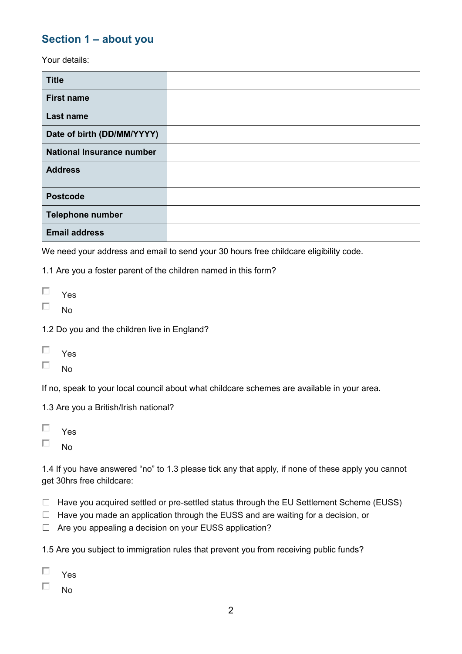## **Section 1 – about you**

Your details:

| <b>Title</b>                     |  |
|----------------------------------|--|
| <b>First name</b>                |  |
| Last name                        |  |
| Date of birth (DD/MM/YYYY)       |  |
| <b>National Insurance number</b> |  |
| <b>Address</b>                   |  |
| <b>Postcode</b>                  |  |
| <b>Telephone number</b>          |  |
| <b>Email address</b>             |  |

We need your address and email to send your 30 hours free childcare eligibility code.

1.1 Are you a foster parent of the children named in this form?

- $\Box$ Yes
- П No

1.2 Do you and the children live in England?

| Yι<br>es |  |
|----------|--|
|----------|--|

 $\Box$ No

If no, speak to your local council about what childcare schemes are available in your area.

1.3 Are you a British/Irish national?

| V<br>es |
|---------|
|         |

 $\Box$ No

1.4 If you have answered "no" to 1.3 please tick any that apply, if none of these apply you cannot get 30hrs free childcare:

- ☐ Have you acquired settled or pre-settled status through the EU Settlement Scheme (EUSS)
- ☐ Have you made an application through the EUSS and are waiting for a decision, or
- □ Are you appealing a decision on your EUSS application?

1.5 Are you subject to immigration rules that prevent you from receiving public funds?

- П Yes
- П No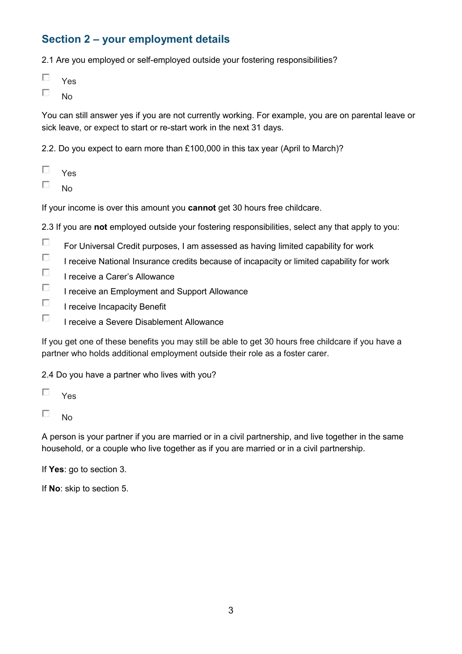## **Section 2 – your employment details**

2.1 Are you employed or self-employed outside your fostering responsibilities?

| u<br>es |  |
|---------|--|
|---------|--|

П No

You can still answer yes if you are not currently working. For example, you are on parental leave or sick leave, or expect to start or re-start work in the next 31 days.

2.2. Do you expect to earn more than £100,000 in this tax year (April to March)?

- П Yes
- П No

If your income is over this amount you **cannot** get 30 hours free childcare.

2.3 If you are **not** employed outside your fostering responsibilities, select any that apply to you:

- $\Box$ For Universal Credit purposes, I am assessed as having limited capability for work
- $\Box$ I receive National Insurance credits because of incapacity or limited capability for work
- $\Box$ I receive a Carer's Allowance
- $\Box$ I receive an Employment and Support Allowance
- П I receive Incapacity Benefit
- П I receive a Severe Disablement Allowance

If you get one of these benefits you may still be able to get 30 hours free childcare if you have a partner who holds additional employment outside their role as a foster carer.

2.4 Do you have a partner who lives with you?

- П. Yes
- $\Box$ No

A person is your partner if you are married or in a civil partnership, and live together in the same household, or a couple who live together as if you are married or in a civil partnership.

If **Yes**: go to section 3.

If **No**: skip to section 5.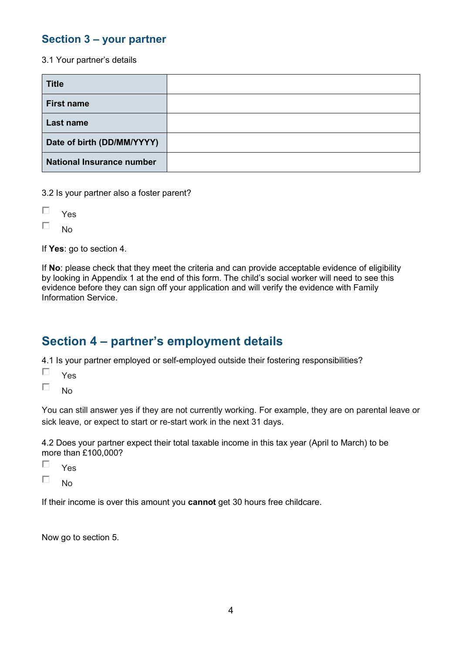## **Section 3 – your partner**

3.1 Your partner's details

| <b>Title</b>                     |  |
|----------------------------------|--|
| <b>First name</b>                |  |
| <b>Last name</b>                 |  |
| Date of birth (DD/MM/YYYY)       |  |
| <b>National Insurance number</b> |  |

3.2 Is your partner also a foster parent?

| Yes |  |
|-----|--|
| No  |  |

If **Yes**: go to section 4.

If **No**: please check that they meet the criteria and can provide acceptable evidence of eligibility by looking in Appendix 1 at the end of this form. The child's social worker will need to see this evidence before they can sign off your application and will verify the evidence with Family Information Service.

## **Section 4 – partner's employment details**

4.1 Is your partner employed or self-employed outside their fostering responsibilities?

П Yes

 $\Box$ No

You can still answer yes if they are not currently working. For example, they are on parental leave or sick leave, or expect to start or re-start work in the next 31 days.

4.2 Does your partner expect their total taxable income in this tax year (April to March) to be more than £100,000?

| Yes |
|-----|
| No  |

If their income is over this amount you **cannot** get 30 hours free childcare.

Now go to section 5.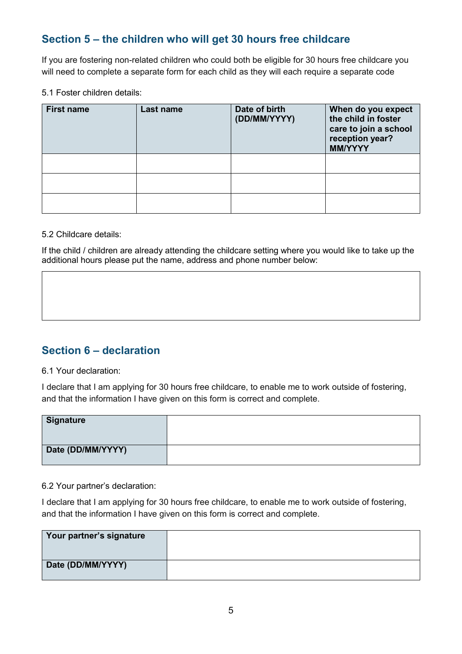## **Section 5 – the children who will get 30 hours free childcare**

If you are fostering non-related children who could both be eligible for 30 hours free childcare you will need to complete a separate form for each child as they will each require a separate code

5.1 Foster children details:

| <b>First name</b> | Last name | Date of birth<br>(DD/MM/YYYY) | When do you expect<br>the child in foster<br>care to join a school<br>reception year?<br><b>MM/YYYY</b> |
|-------------------|-----------|-------------------------------|---------------------------------------------------------------------------------------------------------|
|                   |           |                               |                                                                                                         |
|                   |           |                               |                                                                                                         |
|                   |           |                               |                                                                                                         |

5.2 Childcare details:

If the child / children are already attending the childcare setting where you would like to take up the additional hours please put the name, address and phone number below:

## **Section 6 – declaration**

#### 6.1 Your declaration:

I declare that I am applying for 30 hours free childcare, to enable me to work outside of fostering, and that the information I have given on this form is correct and complete.

| Signature         |  |
|-------------------|--|
| Date (DD/MM/YYYY) |  |

6.2 Your partner's declaration:

I declare that I am applying for 30 hours free childcare, to enable me to work outside of fostering, and that the information I have given on this form is correct and complete.

| Your partner's signature |  |
|--------------------------|--|
| Date (DD/MM/YYYY)        |  |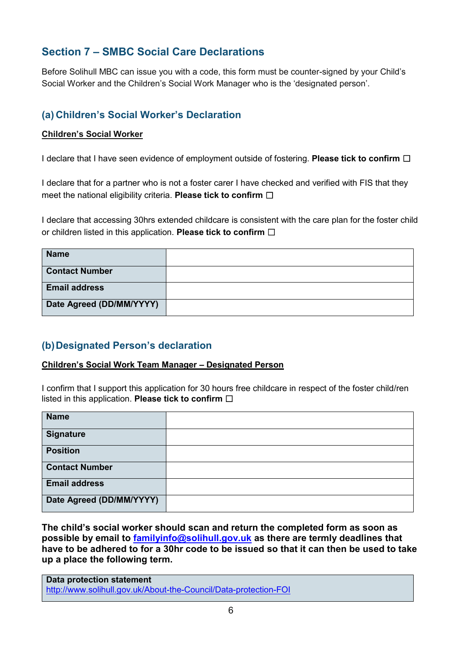## **Section 7 – SMBC Social Care Declarations**

Before Solihull MBC can issue you with a code, this form must be counter-signed by your Child's Social Worker and the Children's Social Work Manager who is the 'designated person'.

## **(a) Children's Social Worker's Declaration**

#### **Children's Social Worker**

I declare that I have seen evidence of employment outside of fostering. **Please tick to confirm** ☐

I declare that for a partner who is not a foster carer I have checked and verified with FIS that they meet the national eligibility criteria. **Please tick to confirm** □

I declare that accessing 30hrs extended childcare is consistent with the care plan for the foster child or children listed in this application. **Please tick to confirm** ☐

| <b>Name</b>              |  |
|--------------------------|--|
| <b>Contact Number</b>    |  |
| <b>Email address</b>     |  |
| Date Agreed (DD/MM/YYYY) |  |

## **(b)Designated Person's declaration**

#### **Children's Social Work Team Manager – Designated Person**

I confirm that I support this application for 30 hours free childcare in respect of the foster child/ren listed in this application. **Please tick to confirm** ☐

| <b>Name</b>              |  |
|--------------------------|--|
| <b>Signature</b>         |  |
| <b>Position</b>          |  |
| <b>Contact Number</b>    |  |
| <b>Email address</b>     |  |
| Date Agreed (DD/MM/YYYY) |  |

**The child's social worker should scan and return the completed form as soon as possible by email to [familyinfo@solihull.gov.uk](mailto:familyinfo@solihull.gov.uk) as there are termly deadlines that have to be adhered to for a 30hr code to be issued so that it can then be used to take up a place the following term.**

**Data protection statement** <http://www.solihull.gov.uk/About-the-Council/Data-protection-FOI>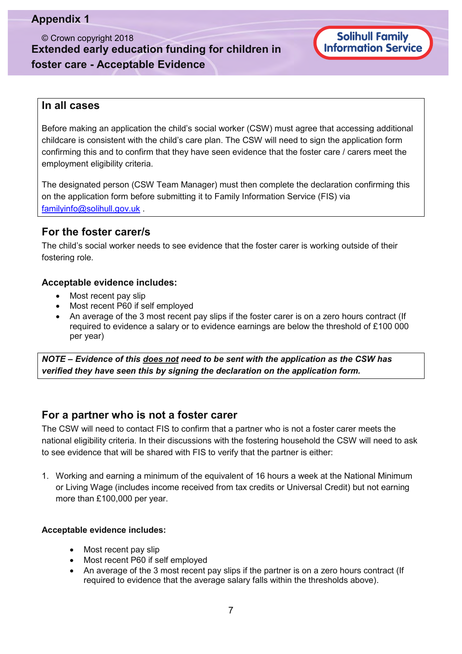## **Appendix 1**

© Crown copyright 2018 **Extended early education funding for children in foster care - Acceptable Evidence**

Solihull Family<br>Information Service

#### **In all cases**

Before making an application the child's social worker (CSW) must agree that accessing additional childcare is consistent with the child's care plan. The CSW will need to sign the application form confirming this and to confirm that they have seen evidence that the foster care / carers meet the employment eligibility criteria.

The designated person (CSW Team Manager) must then complete the declaration confirming this on the application form before submitting it to Family Information Service (FIS) via [familyinfo@solihull.gov.uk](mailto:familyinfo@solihull.gov.uk) .

### **For the foster carer/s**

The child's social worker needs to see evidence that the foster carer is working outside of their fostering role.

#### **Acceptable evidence includes:**

- Most recent pay slip
- Most recent P60 if self employed
- An average of the 3 most recent pay slips if the foster carer is on a zero hours contract (If required to evidence a salary or to evidence earnings are below the threshold of £100 000 per year)

*NOTE – Evidence of this does not need to be sent with the application as the CSW has verified they have seen this by signing the declaration on the application form.* 

### **For a partner who is not a foster carer**

The CSW will need to contact FIS to confirm that a partner who is not a foster carer meets the national eligibility criteria. In their discussions with the fostering household the CSW will need to ask to see evidence that will be shared with FIS to verify that the partner is either:

1. Working and earning a minimum of the equivalent of 16 hours a week at the National Minimum or Living Wage (includes income received from tax credits or Universal Credit) but not earning more than £100,000 per year.

#### **Acceptable evidence includes:**

- Most recent pay slip
- Most recent P60 if self employed
- An average of the 3 most recent pay slips if the partner is on a zero hours contract (If required to evidence that the average salary falls within the thresholds above).